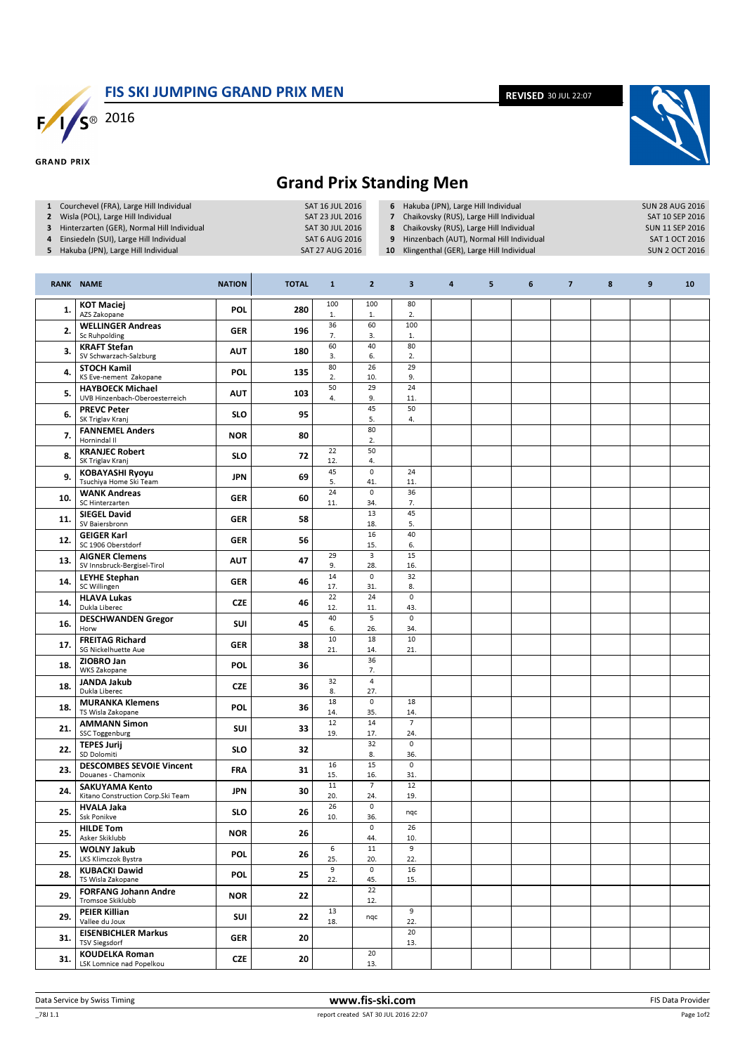FIS SKI JUMPING GRAND PRIX MEN

REVISED 30 JUL 22:07



## Grand Prix Standing Men

| 1 Courchevel (FRA), Large Hill Individual<br>Wisla (POL), Large Hill Individual<br>$\mathbf{2}$<br>Hinterzarten (GER), Normal Hill Individual<br>3<br>Einsiedeln (SUI), Large Hill Individual<br>4<br>5 Hakuba (JPN), Large Hill Individual |                                                            |               | SAT 27 AUG 2016 | SAT 16 JUL 2016<br>SAT 23 JUL 2016<br>SAT 30 JUL 2016<br><b>SAT 6 AUG 2016</b> | 6 Hakuba (JPN), Large Hill Individual<br>Chaikovsky (RUS), Large Hill Individual<br>$\overline{\phantom{a}}$<br>Chaikovsky (RUS), Large Hill Individual<br>8<br>Hinzenbach (AUT), Normal Hill Individual<br>9<br>Klingenthal (GER), Large Hill Individual<br>10 |                       | <b>SUN 28 AUG 2016</b><br>SAT 10 SEP 2016<br><b>SUN 11 SEP 2016</b><br>SAT 1 OCT 2016<br><b>SUN 2 OCT 2016</b> |   |   |                |   |   |    |
|---------------------------------------------------------------------------------------------------------------------------------------------------------------------------------------------------------------------------------------------|------------------------------------------------------------|---------------|-----------------|--------------------------------------------------------------------------------|-----------------------------------------------------------------------------------------------------------------------------------------------------------------------------------------------------------------------------------------------------------------|-----------------------|----------------------------------------------------------------------------------------------------------------|---|---|----------------|---|---|----|
| <b>RANK NAME</b>                                                                                                                                                                                                                            |                                                            | <b>NATION</b> | <b>TOTAL</b>    | $\mathbf{1}$                                                                   | $\mathbf{2}$                                                                                                                                                                                                                                                    | $\mathbf{3}$          | 4                                                                                                              | 5 | 6 | $\overline{7}$ | 8 | 9 | 10 |
| 1.                                                                                                                                                                                                                                          | <b>KOT Maciej</b><br>AZS Zakopane                          | <b>POL</b>    | 280             | 100<br>$1.$                                                                    | 100<br>$1.$                                                                                                                                                                                                                                                     | 80<br>2.              |                                                                                                                |   |   |                |   |   |    |
| 2.                                                                                                                                                                                                                                          | <b>WELLINGER Andreas</b><br>Sc Ruhpolding                  | <b>GER</b>    | 196             | 36<br>7.                                                                       | 60<br>3.                                                                                                                                                                                                                                                        | 100<br>$\mathbf{1}$ . |                                                                                                                |   |   |                |   |   |    |
| 3.                                                                                                                                                                                                                                          | <b>KRAFT Stefan</b><br>SV Schwarzach-Salzburg              | <b>AUT</b>    | 180             | 60<br>3.                                                                       | 40<br>6.                                                                                                                                                                                                                                                        | 80<br>2.              |                                                                                                                |   |   |                |   |   |    |
| 4.                                                                                                                                                                                                                                          | <b>STOCH Kamil</b><br>KS Eve-nement Zakopane               | <b>POL</b>    | 135             | 80<br>2.                                                                       | 26<br>10.                                                                                                                                                                                                                                                       | 29<br>9.              |                                                                                                                |   |   |                |   |   |    |
| 5.                                                                                                                                                                                                                                          | <b>HAYBOECK Michael</b><br>UVB Hinzenbach-Oberoesterreich  | <b>AUT</b>    | 103             | 50<br>4.                                                                       | 29<br>9.                                                                                                                                                                                                                                                        | 24<br>11.             |                                                                                                                |   |   |                |   |   |    |
| 6.                                                                                                                                                                                                                                          | <b>PREVC Peter</b><br>SK Triglav Kranj                     | <b>SLO</b>    | 95              |                                                                                | 45<br>5.                                                                                                                                                                                                                                                        | 50<br>4.              |                                                                                                                |   |   |                |   |   |    |
| 7.                                                                                                                                                                                                                                          | <b>FANNEMEL Anders</b><br>Hornindal II                     | <b>NOR</b>    | 80              |                                                                                | 80<br>2.                                                                                                                                                                                                                                                        |                       |                                                                                                                |   |   |                |   |   |    |
| 8.                                                                                                                                                                                                                                          | <b>KRANJEC Robert</b><br>SK Triglav Kranj                  | SLO           | 72              | 22<br>12.                                                                      | 50<br>4.                                                                                                                                                                                                                                                        |                       |                                                                                                                |   |   |                |   |   |    |
| 9.                                                                                                                                                                                                                                          | <b>KOBAYASHI Ryoyu</b><br>Tsuchiya Home Ski Team           | <b>JPN</b>    | 69              | 45<br>5.                                                                       | $\mathsf 0$<br>41.                                                                                                                                                                                                                                              | 24<br>11.             |                                                                                                                |   |   |                |   |   |    |
| 10.                                                                                                                                                                                                                                         | <b>WANK Andreas</b><br>SC Hinterzarten                     | <b>GER</b>    | 60              | 24<br>11.                                                                      | 0<br>34.                                                                                                                                                                                                                                                        | 36<br>7.              |                                                                                                                |   |   |                |   |   |    |
| 11.                                                                                                                                                                                                                                         | <b>SIEGEL David</b><br>SV Baiersbronn                      | <b>GER</b>    | 58              |                                                                                | 13<br>18.                                                                                                                                                                                                                                                       | 45<br>5.              |                                                                                                                |   |   |                |   |   |    |
| 12.                                                                                                                                                                                                                                         | <b>GEIGER Karl</b><br>SC 1906 Oberstdorf                   | <b>GER</b>    | 56              |                                                                                | 16<br>15.                                                                                                                                                                                                                                                       | 40<br>6.              |                                                                                                                |   |   |                |   |   |    |
| 13.                                                                                                                                                                                                                                         | <b>AIGNER Clemens</b><br>SV Innsbruck-Bergisel-Tirol       | <b>AUT</b>    | 47              | 29<br>9.                                                                       | $\overline{\mathbf{3}}$<br>28.                                                                                                                                                                                                                                  | 15<br>16.             |                                                                                                                |   |   |                |   |   |    |
| 14.                                                                                                                                                                                                                                         | <b>LEYHE Stephan</b><br>SC Willingen                       | <b>GER</b>    | 46              | 14<br>17.                                                                      | $\mathsf{O}\xspace$<br>31.                                                                                                                                                                                                                                      | 32<br>8.              |                                                                                                                |   |   |                |   |   |    |
| 14.                                                                                                                                                                                                                                         | <b>HLAVA Lukas</b><br>Dukla Liberec                        | <b>CZE</b>    | 46              | 22<br>12.                                                                      | 24<br>11.                                                                                                                                                                                                                                                       | 0<br>43.              |                                                                                                                |   |   |                |   |   |    |
| 16.                                                                                                                                                                                                                                         | <b>DESCHWANDEN Gregor</b><br>Horw                          | SUI           | 45              | 40<br>6.                                                                       | 5<br>26.                                                                                                                                                                                                                                                        | 0<br>34.              |                                                                                                                |   |   |                |   |   |    |
| 17.                                                                                                                                                                                                                                         | <b>FREITAG Richard</b><br>SG Nickelhuette Aue              | GER           | 38              | 10<br>21.                                                                      | 18<br>14.                                                                                                                                                                                                                                                       | 10<br>21.             |                                                                                                                |   |   |                |   |   |    |
| 18.                                                                                                                                                                                                                                         | ZIOBRO Jan<br><b>WKS Zakopane</b>                          | POL           | 36              |                                                                                | 36<br>7.                                                                                                                                                                                                                                                        |                       |                                                                                                                |   |   |                |   |   |    |
| 18.                                                                                                                                                                                                                                         | <b>JANDA Jakub</b><br>Dukla Liberec                        | <b>CZE</b>    | 36              | 32<br>8.                                                                       | 4<br>27.                                                                                                                                                                                                                                                        |                       |                                                                                                                |   |   |                |   |   |    |
| 18.                                                                                                                                                                                                                                         | <b>MURANKA Klemens</b><br>TS Wisla Zakopane                | <b>POL</b>    | 36              | 18<br>14.                                                                      | $\mathsf{o}\,$<br>35.                                                                                                                                                                                                                                           | 18<br>14.             |                                                                                                                |   |   |                |   |   |    |
| 21.                                                                                                                                                                                                                                         | <b>AMMANN Simon</b><br>SSC Toggenburg                      | SUI           | 33              | 12<br>19.                                                                      | 14<br>17.                                                                                                                                                                                                                                                       | $\overline{7}$<br>24. |                                                                                                                |   |   |                |   |   |    |
| 22.                                                                                                                                                                                                                                         | <b>TEPES Jurij</b><br>SD Dolomiti                          | <b>SLO</b>    | 32              |                                                                                | 32<br>8.                                                                                                                                                                                                                                                        | 0<br>36.              |                                                                                                                |   |   |                |   |   |    |
| 23.                                                                                                                                                                                                                                         | <b>DESCOMBES SEVOIE Vincent</b><br>Douanes - Chamonix      | <b>FRA</b>    | 31              | 16<br>15.                                                                      | 15<br>16.                                                                                                                                                                                                                                                       | $\mathsf 0$<br>31.    |                                                                                                                |   |   |                |   |   |    |
| 24.                                                                                                                                                                                                                                         | <b>SAKUYAMA Kento</b><br>Kitano Construction Corp.Ski Team | JPN           | 30              | 11<br>20.                                                                      | $7\overline{ }$<br>24.                                                                                                                                                                                                                                          | 12<br>19.             |                                                                                                                |   |   |                |   |   |    |
| 25.                                                                                                                                                                                                                                         | <b>HVALA Jaka</b><br>Ssk Ponikve                           | <b>SLO</b>    | 26              | 26<br>10.                                                                      | $\mathsf{O}\xspace$<br>36.                                                                                                                                                                                                                                      | nqc                   |                                                                                                                |   |   |                |   |   |    |
| 25.                                                                                                                                                                                                                                         | <b>HILDE Tom</b><br>Asker Skiklubb                         | <b>NOR</b>    | 26              |                                                                                | $\mathsf{O}\xspace$<br>44.                                                                                                                                                                                                                                      | 26<br>10.             |                                                                                                                |   |   |                |   |   |    |
| 25.                                                                                                                                                                                                                                         | <b>WOLNY Jakub</b><br>LKS Klimczok Bystra                  | <b>POL</b>    | 26              | 6<br>25.                                                                       | 11<br>20.                                                                                                                                                                                                                                                       | 9<br>22.              |                                                                                                                |   |   |                |   |   |    |
| 28.                                                                                                                                                                                                                                         | <b>KUBACKI Dawid</b><br>TS Wisla Zakopane                  | <b>POL</b>    | 25              | 9<br>22.                                                                       | $\mathsf{O}\xspace$<br>45.                                                                                                                                                                                                                                      | 16<br>15.             |                                                                                                                |   |   |                |   |   |    |
| 29.                                                                                                                                                                                                                                         | <b>FORFANG Johann Andre</b><br>Tromsoe Skiklubb            | <b>NOR</b>    | 22              |                                                                                | 22<br>12.                                                                                                                                                                                                                                                       |                       |                                                                                                                |   |   |                |   |   |    |
| 29.                                                                                                                                                                                                                                         | <b>PEIER Killian</b><br>Vallee du Joux                     | SUI           | 22              | 13<br>18.                                                                      | nqc                                                                                                                                                                                                                                                             | 9<br>22.              |                                                                                                                |   |   |                |   |   |    |
| 31.                                                                                                                                                                                                                                         | <b>EISENBICHLER Markus</b><br><b>TSV Siegsdorf</b>         | <b>GER</b>    | 20              |                                                                                |                                                                                                                                                                                                                                                                 | 20<br>13.             |                                                                                                                |   |   |                |   |   |    |
| 31.                                                                                                                                                                                                                                         | <b>KOUDELKA Roman</b><br>LSK Lomnice nad Popelkou          | <b>CZE</b>    | 20              |                                                                                | 20<br>13.                                                                                                                                                                                                                                                       |                       |                                                                                                                |   |   |                |   |   |    |

**GRAND PRIX**